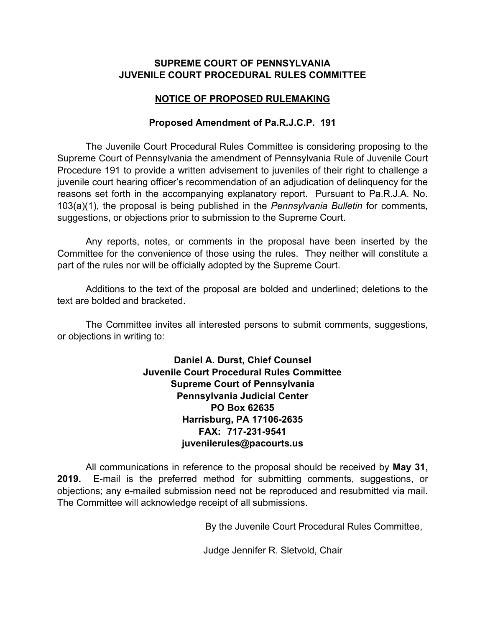### **SUPREME COURT OF PENNSYLVANIA JUVENILE COURT PROCEDURAL RULES COMMITTEE**

## **NOTICE OF PROPOSED RULEMAKING**

### **Proposed Amendment of Pa.R.J.C.P. 191**

The Juvenile Court Procedural Rules Committee is considering proposing to the Supreme Court of Pennsylvania the amendment of Pennsylvania Rule of Juvenile Court Procedure 191 to provide a written advisement to juveniles of their right to challenge a juvenile court hearing officer's recommendation of an adjudication of delinquency for the reasons set forth in the accompanying explanatory report. Pursuant to Pa.R.J.A. No. 103(a)(1), the proposal is being published in the *Pennsylvania Bulletin* for comments, suggestions, or objections prior to submission to the Supreme Court.

Any reports, notes, or comments in the proposal have been inserted by the Committee for the convenience of those using the rules. They neither will constitute a part of the rules nor will be officially adopted by the Supreme Court.

Additions to the text of the proposal are bolded and underlined; deletions to the text are bolded and bracketed.

The Committee invites all interested persons to submit comments, suggestions, or objections in writing to:

> **Daniel A. Durst, Chief Counsel Juvenile Court Procedural Rules Committee Supreme Court of Pennsylvania Pennsylvania Judicial Center PO Box 62635 Harrisburg, PA 17106-2635 FAX: 717-231-9541 juvenilerules@pacourts.us**

All communications in reference to the proposal should be received by **May 31, 2019.** E-mail is the preferred method for submitting comments, suggestions, or objections; any e-mailed submission need not be reproduced and resubmitted via mail. The Committee will acknowledge receipt of all submissions.

By the Juvenile Court Procedural Rules Committee,

Judge Jennifer R. Sletvold, Chair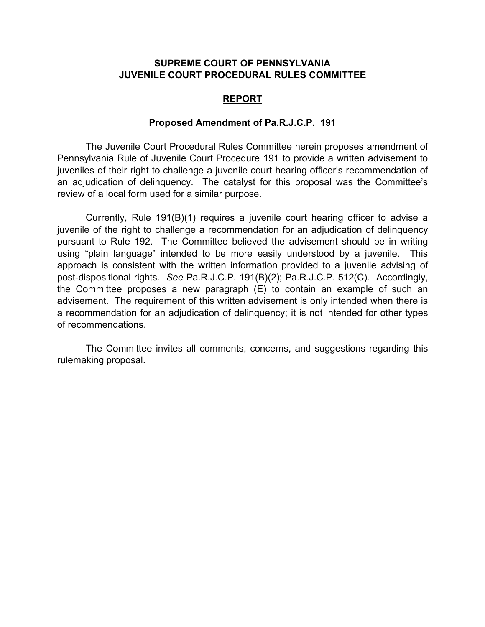### **SUPREME COURT OF PENNSYLVANIA JUVENILE COURT PROCEDURAL RULES COMMITTEE**

#### **REPORT**

#### **Proposed Amendment of Pa.R.J.C.P. 191**

The Juvenile Court Procedural Rules Committee herein proposes amendment of Pennsylvania Rule of Juvenile Court Procedure 191 to provide a written advisement to juveniles of their right to challenge a juvenile court hearing officer's recommendation of an adjudication of delinquency. The catalyst for this proposal was the Committee's review of a local form used for a similar purpose.

Currently, Rule 191(B)(1) requires a juvenile court hearing officer to advise a juvenile of the right to challenge a recommendation for an adjudication of delinquency pursuant to Rule 192. The Committee believed the advisement should be in writing using "plain language" intended to be more easily understood by a juvenile. This approach is consistent with the written information provided to a juvenile advising of post-dispositional rights. *See* Pa.R.J.C.P. 191(B)(2); Pa.R.J.C.P. 512(C). Accordingly, the Committee proposes a new paragraph (E) to contain an example of such an advisement. The requirement of this written advisement is only intended when there is a recommendation for an adjudication of delinquency; it is not intended for other types of recommendations.

The Committee invites all comments, concerns, and suggestions regarding this rulemaking proposal.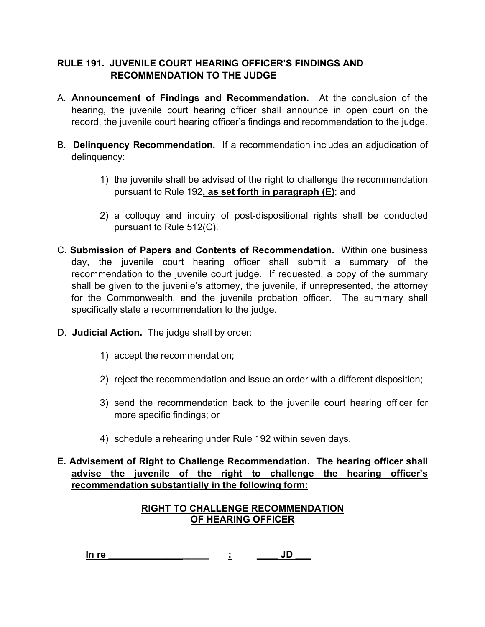# **RULE 191. JUVENILE COURT HEARING OFFICER'S FINDINGS AND RECOMMENDATION TO THE JUDGE**

- A. **Announcement of Findings and Recommendation.** At the conclusion of the hearing, the juvenile court hearing officer shall announce in open court on the record, the juvenile court hearing officer's findings and recommendation to the judge.
- B. **Delinquency Recommendation.** If a recommendation includes an adjudication of delinquency:
	- 1) the juvenile shall be advised of the right to challenge the recommendation pursuant to Rule 192**, as set forth in paragraph (E)**; and
	- 2) a colloquy and inquiry of post-dispositional rights shall be conducted pursuant to Rule 512(C).
- C. **Submission of Papers and Contents of Recommendation.** Within one business day, the juvenile court hearing officer shall submit a summary of the recommendation to the juvenile court judge. If requested, a copy of the summary shall be given to the juvenile's attorney, the juvenile, if unrepresented, the attorney for the Commonwealth, and the juvenile probation officer. The summary shall specifically state a recommendation to the judge.
- D. **Judicial Action.** The judge shall by order:
	- 1) accept the recommendation;
	- 2) reject the recommendation and issue an order with a different disposition;
	- 3) send the recommendation back to the juvenile court hearing officer for more specific findings; or
	- 4) schedule a rehearing under Rule 192 within seven days.

## **E. Advisement of Right to Challenge Recommendation. The hearing officer shall advise the juvenile of the right to challenge the hearing officer's recommendation substantially in the following form:**

## **RIGHT TO CHALLENGE RECOMMENDATION OF HEARING OFFICER**

**In re \_\_\_\_\_\_\_\_\_\_\_\_\_\_\_\_\_\_\_ : \_\_\_\_ JD \_\_\_**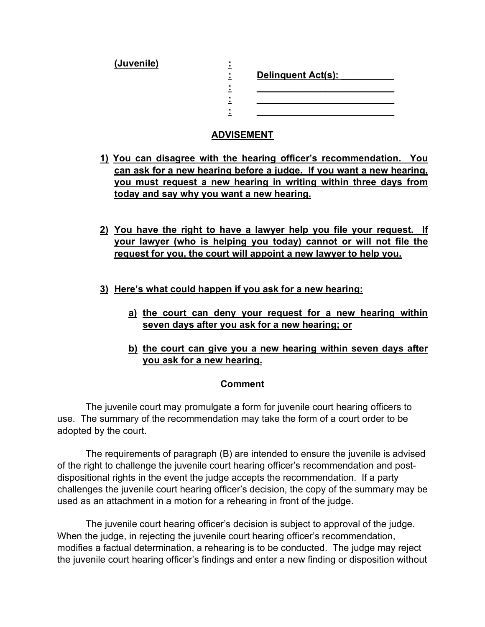**(Juvenile) :**

**: Delinquent Act(s): \_\_\_\_\_\_\_\_\_\_ : \_\_\_\_\_\_\_\_\_\_\_\_\_\_\_\_\_\_\_\_\_\_\_\_\_\_ : \_\_\_\_\_\_\_\_\_\_\_\_\_\_\_\_\_\_\_\_\_\_\_\_\_\_ : \_\_\_\_\_\_\_\_\_\_\_\_\_\_\_\_\_\_\_\_\_\_\_\_\_\_**

# **ADVISEMENT**

- **1) You can disagree with the hearing officer's recommendation. You can ask for a new hearing before a judge. If you want a new hearing, you must request a new hearing in writing within three days from today and say why you want a new hearing.**
- **2) You have the right to have a lawyer help you file your request. If your lawyer (who is helping you today) cannot or will not file the request for you, the court will appoint a new lawyer to help you.**
- **3) Here's what could happen if you ask for a new hearing:** 
	- **a) the court can deny your request for a new hearing within seven days after you ask for a new hearing; or**
	- **b) the court can give you a new hearing within seven days after you ask for a new hearing.**

## **Comment**

 The juvenile court may promulgate a form for juvenile court hearing officers to use. The summary of the recommendation may take the form of a court order to be adopted by the court.

 The requirements of paragraph (B) are intended to ensure the juvenile is advised of the right to challenge the juvenile court hearing officer's recommendation and postdispositional rights in the event the judge accepts the recommendation. If a party challenges the juvenile court hearing officer's decision, the copy of the summary may be used as an attachment in a motion for a rehearing in front of the judge.

 The juvenile court hearing officer's decision is subject to approval of the judge. When the judge, in rejecting the juvenile court hearing officer's recommendation, modifies a factual determination, a rehearing is to be conducted. The judge may reject the juvenile court hearing officer's findings and enter a new finding or disposition without